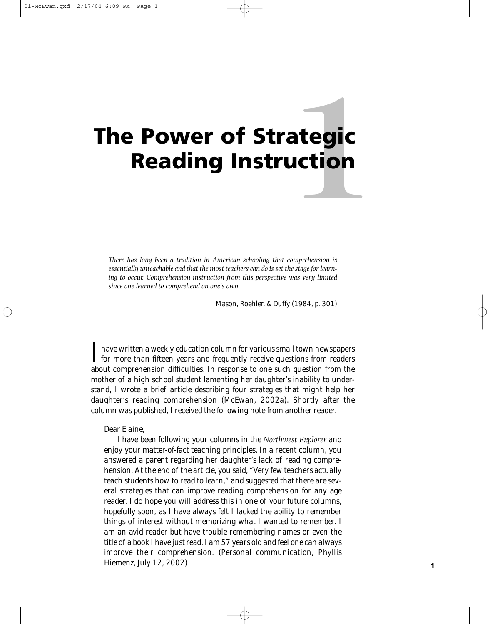# **1 The Power of Strategic Reading Instruction**

*There has long been a tradition in American schooling that comprehension is essentially unteachable and that the most teachers can do is set the stage for learning to occur. Comprehension instruction from this perspective was very limited since one learned to comprehend on one's own.*

Mason, Roehler, & Duffy (1984, p. 301)

I have written a weekly education column for various small town newspapers<br>for more than fifteen years and frequently receive questions from readers about comprehension difficulties. In response to one such question from the mother of a high school student lamenting her daughter's inability to understand, I wrote a brief article describing four strategies that might help her daughter's reading comprehension (McEwan, 2002a). Shortly after the column was published, I received the following note from another reader.

Dear Elaine,

I have been following your columns in the *Northwest Explorer* and enjoy your matter-of-fact teaching principles. In a recent column, you answered a parent regarding her daughter's lack of reading comprehension. At the end of the article, you said, "Very few teachers actually teach students how to read to learn," and suggested that there are several strategies that can improve reading comprehension for any age reader. I do hope you will address this in one of your future columns, hopefully soon, as I have always felt I lacked the ability to remember things of interest without memorizing what I wanted to remember. I am an avid reader but have trouble remembering names or even the title of a book I have just read. I am 57 years old and feel one can always improve their comprehension. (Personal communication, Phyllis Hiemenz, July 12, 2002)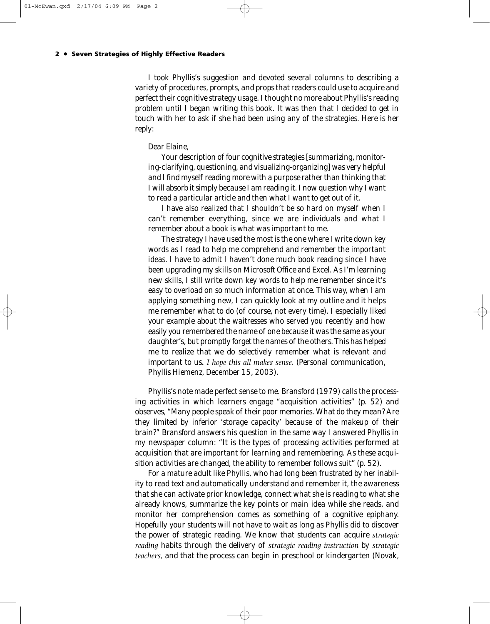I took Phyllis's suggestion and devoted several columns to describing a variety of procedures, prompts, and props that readers could use to acquire and perfect their cognitive strategy usage. I thought no more about Phyllis's reading problem until I began writing this book. It was then that I decided to get in touch with her to ask if she had been using any of the strategies. Here is her reply:

#### Dear Elaine,

Your description of four cognitive strategies [summarizing, monitoring-clarifying, questioning, and visualizing-organizing] was very helpful and I find myself reading more with a purpose rather than thinking that I will absorb it simply because I am reading it. I now question why I want to read a particular article and then what I want to get out of it.

I have also realized that I shouldn't be so hard on myself when I can't remember everything, since we are individuals and what I remember about a book is what was important to me.

The strategy I have used the most is the one where I write down key words as I read to help me comprehend and remember the important ideas. I have to admit I haven't done much book reading since I have been upgrading my skills on Microsoft Office and Excel. As I'm learning new skills, I still write down key words to help me remember since it's easy to overload on so much information at once. This way, when I am applying something new, I can quickly look at my outline and it helps me remember what to do (of course, not every time). I especially liked your example about the waitresses who served you recently and how easily you remembered the name of one because it was the same as your daughter's, but promptly forget the names of the others. This has helped me to realize that we do selectively remember what is relevant and important to us**.** *I hope this all makes sense*. (Personal communication, Phyllis Hiemenz, December 15, 2003).

Phyllis's note made perfect sense to me. Bransford (1979) calls the processing activities in which learners engage "acquisition activities" (p. 52) and observes, "Many people speak of their poor memories. What do they mean? Are they limited by inferior 'storage capacity' because of the makeup of their brain?" Bransford answers his question in the same way I answered Phyllis in my newspaper column: "It is the types of processing activities performed at acquisition that are important for learning and remembering. As these acquisition activities are changed, the ability to remember follows suit" (p. 52).

For a mature adult like Phyllis, who had long been frustrated by her inability to read text and automatically understand and remember it, the awareness that she can activate prior knowledge, connect what she is reading to what she already knows, summarize the key points or main idea while she reads, and monitor her comprehension comes as something of a cognitive epiphany. Hopefully your students will not have to wait as long as Phyllis did to discover the power of strategic reading. We know that students can acquire *strategic reading* habits through the delivery of *strategic reading instruction* by *strategic teachers,* and that the process can begin in preschool or kindergarten (Novak,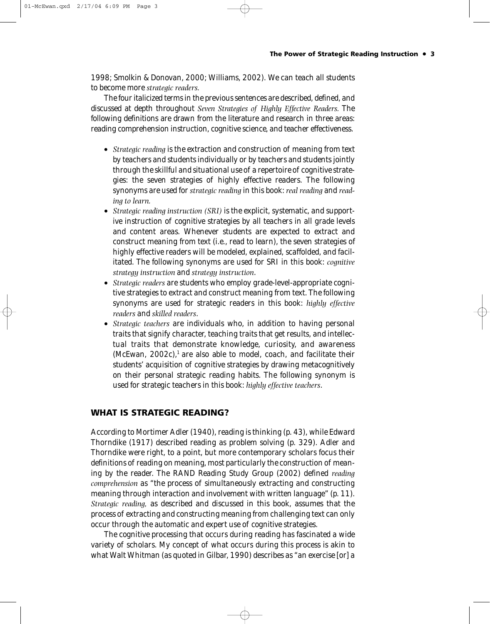1998; Smolkin & Donovan, 2000; Williams, 2002). We can teach all students to become more *strategic readers.*

The four italicized terms in the previous sentences are described, defined, and discussed at depth throughout *Seven Strategies of Highly Effective Readers.* The following definitions are drawn from the literature and research in three areas: reading comprehension instruction, cognitive science, and teacher effectiveness.

- *Strategic reading* is the extraction and construction of meaning from text by teachers and students individually or by teachers and students jointly through the skillful and situational use of a repertoire of cognitive strategies: the seven strategies of highly effective readers. The following synonyms are used for *strategic reading* in this book: *real reading* and *reading to learn.*
- *Strategic reading instruction (SRI)* is the explicit, systematic, and supportive instruction of cognitive strategies by all teachers in all grade levels and content areas. Whenever students are expected to extract and construct meaning from text (i.e., read to learn), the seven strategies of highly effective readers will be modeled, explained, scaffolded, and facilitated. The following synonyms are used for SRI in this book: *cognitive strategy instruction* and *strategy instruction*.
- *Strategic readers* are students who employ grade-level-appropriate cognitive strategies to extract and construct meaning from text. The following synonyms are used for strategic readers in this book: *highly effective readers* and *skilled readers*.
- *Strategic teachers* are individuals who, in addition to having personal traits that signify character, teaching traits that get results, and intellectual traits that demonstrate knowledge, curiosity, and awareness (McEwan,  $2002c$ ),<sup>1</sup> are also able to model, coach, and facilitate their students' acquisition of cognitive strategies by drawing metacognitively on their personal strategic reading habits. The following synonym is used for strategic teachers in this book: *highly effective teachers*.

# **WHAT IS STRATEGIC READING?**

According to Mortimer Adler (1940), reading is thinking (p. 43), while Edward Thorndike (1917) described reading as problem solving (p. 329). Adler and Thorndike were right, to a point, but more contemporary scholars focus their definitions of reading on meaning, most particularly the construction of meaning by the reader. The RAND Reading Study Group (2002) defined *reading comprehension* as "the process of simultaneously extracting and constructing meaning through interaction and involvement with written language" (p. 11). *Strategic reading,* as described and discussed in this book, assumes that the process of extracting and constructing meaning from challenging text can only occur through the automatic and expert use of cognitive strategies.

The cognitive processing that occurs during reading has fascinated a wide variety of scholars. My concept of what occurs during this process is akin to what Walt Whitman (as quoted in Gilbar, 1990) describes as "an exercise [or] a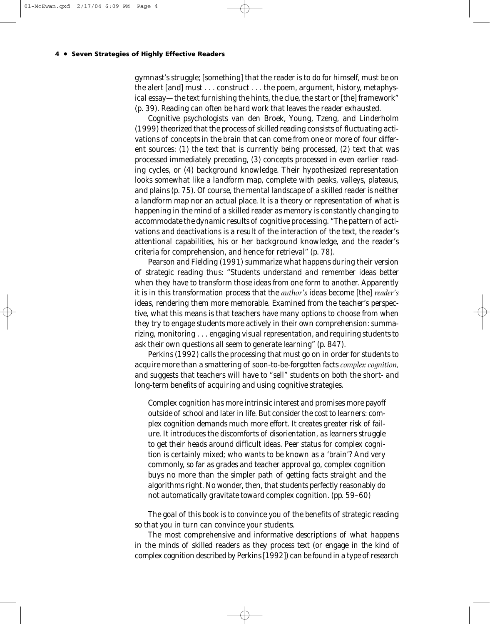gymnast's struggle; [something] that the reader is to do for himself, must be on the alert [and] must . . . construct . . . the poem, argument, history, metaphysical essay—the text furnishing the hints, the clue, the start or [the] framework" (p. 39). Reading can often be hard work that leaves the reader exhausted.

Cognitive psychologists van den Broek, Young, Tzeng, and Linderholm (1999) theorized that the process of skilled reading consists of fluctuating activations of concepts in the brain that can come from one or more of four different sources: (1) the text that is currently being processed, (2) text that was processed immediately preceding, (3) concepts processed in even earlier reading cycles, or (4) background knowledge. Their hypothesized representation looks somewhat like a landform map, complete with peaks, valleys, plateaus, and plains (p. 75). Of course, the mental landscape of a skilled reader is neither a landform map nor an actual place. It is a theory or representation of what is happening in the mind of a skilled reader as memory is constantly changing to accommodate the dynamic results of cognitive processing. "The pattern of activations and deactivations is a result of the interaction of the text, the reader's attentional capabilities, his or her background knowledge, and the reader's criteria for comprehension, and hence for retrieval" (p. 78).

Pearson and Fielding (1991) summarize what happens during their version of strategic reading thus: "Students understand and remember ideas better when they have to transform those ideas from one form to another. Apparently it is in this transformation process that the *author's* ideas become [the] *reader's* ideas, rendering them more memorable. Examined from the teacher's perspective, what this means is that teachers have many options to choose from when they try to engage students more actively in their own comprehension: summarizing, monitoring . . . engaging visual representation, and requiring students to ask their own questions all seem to generate learning" (p. 847).

Perkins (1992) calls the processing that must go on in order for students to acquire more than a smattering of soon-to-be-forgotten facts *complex cognition,* and suggests that teachers will have to "sell" students on both the short- and long-term benefits of acquiring and using cognitive strategies.

Complex cognition has more intrinsic interest and promises more payoff outside of school and later in life. But consider the cost to learners: complex cognition demands much more effort. It creates greater risk of failure. It introduces the discomforts of disorientation, as learners struggle to get their heads around difficult ideas. Peer status for complex cognition is certainly mixed; who wants to be known as a 'brain'? And very commonly, so far as grades and teacher approval go, complex cognition buys no more than the simpler path of getting facts straight and the algorithms right. No wonder, then, that students perfectly reasonably do not automatically gravitate toward complex cognition. (pp. 59–60)

The goal of this book is to convince you of the benefits of strategic reading so that you in turn can convince your students.

The most comprehensive and informative descriptions of what happens in the minds of skilled readers as they process text (or engage in the kind of complex cognition described by Perkins [1992]) can be found in a type of research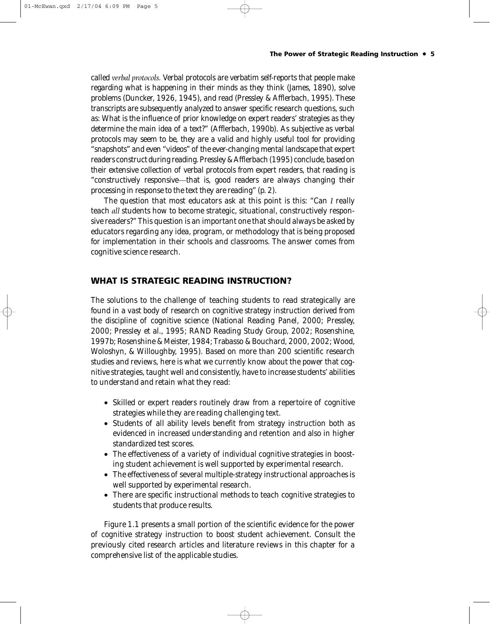#### **The Power of Strategic Reading Instruction • 5**

called *verbal protocols.* Verbal protocols are verbatim self-reports that people make regarding what is happening in their minds as they think (James, 1890), solve problems (Duncker, 1926, 1945), and read (Pressley & Afflerbach, 1995). These transcripts are subsequently analyzed to answer specific research questions, such as: What is the influence of prior knowledge on expert readers' strategies as they determine the main idea of a text?" (Afflerbach, 1990b). As subjective as verbal protocols may seem to be, they are a valid and highly useful tool for providing "snapshots" and even "videos" of the ever-changing mental landscape that expert readers construct during reading. Pressley & Afflerbach (1995) conclude, based on their extensive collection of verbal protocols from expert readers, that reading is "constructively responsive*—*that is, good readers are always changing their processing in response to the text they are reading" (p. 2).

The question that most educators ask at this point is this: "Can *I* really teach *all* students how to become strategic, situational, constructively responsive readers?" This question is an important one that should always be asked by educators regarding any idea, program, or methodology that is being proposed for implementation in their schools and classrooms. The answer comes from cognitive science research.

# **WHAT IS STRATEGIC READING INSTRUCTION?**

The solutions to the challenge of teaching students to read strategically are found in a vast body of research on cognitive strategy instruction derived from the discipline of cognitive science (National Reading Panel, 2000; Pressley, 2000; Pressley et al., 1995; RAND Reading Study Group, 2002; Rosenshine, 1997b; Rosenshine & Meister, 1984; Trabasso & Bouchard, 2000, 2002; Wood, Woloshyn, & Willoughby, 1995). Based on more than 200 scientific research studies and reviews, here is what we currently know about the power that cognitive strategies, taught well and consistently, have to increase students' abilities to understand and retain what they read:

- Skilled or expert readers routinely draw from a repertoire of cognitive strategies while they are reading challenging text.
- Students of all ability levels benefit from strategy instruction both as evidenced in increased understanding and retention and also in higher standardized test scores.
- The effectiveness of a variety of individual cognitive strategies in boosting student achievement is well supported by experimental research.
- The effectiveness of several multiple-strategy instructional approaches is well supported by experimental research.
- There are specific instructional methods to teach cognitive strategies to students that produce results.

Figure 1.1 presents a small portion of the scientific evidence for the power of cognitive strategy instruction to boost student achievement. Consult the previously cited research articles and literature reviews in this chapter for a comprehensive list of the applicable studies.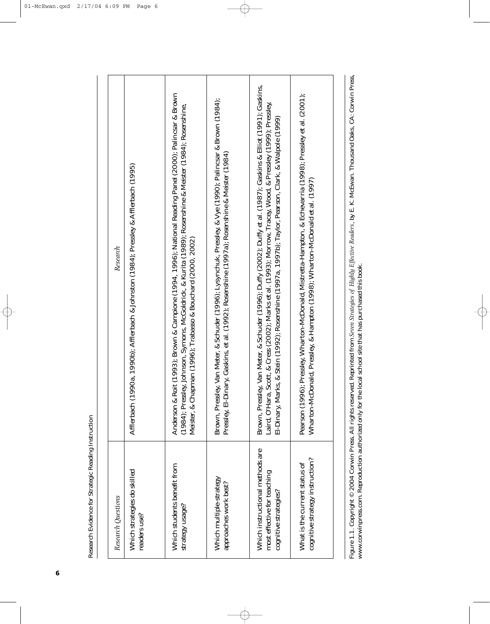**6**

| Research Questions                                                                      | Research                                                                                                                                                                                                                                                                                                                                          |
|-----------------------------------------------------------------------------------------|---------------------------------------------------------------------------------------------------------------------------------------------------------------------------------------------------------------------------------------------------------------------------------------------------------------------------------------------------|
| Which strategies do skilled<br>readers use?                                             | Afflerbach (1990a, 1990b); Afflerbach & Johnston (1984); Pressley & Afflerbach (1995)                                                                                                                                                                                                                                                             |
| Which students benefit from<br>strategy usage?                                          | Anderson & Roit (1993); Brown & Campione (1994, 1996); National Reading Panel (2000); Palincsar & Brown<br>(1984); Pressley, Johnson, Symons, McGoldrick, & Kurita (1989); Rosenshine & Meister (1984); Rosenshine,<br>Meister, & Chapman (1996); Trabasso & Bouchard (2000, 2002)                                                                |
| Which multiple-strategy<br>approaches work best?                                        | Brown, Pressley, Van Meter, & Schuder (1996); Lysynchuk, Pressley, & Vye (1990); Palincsar & Brown (1984);<br>inary, Gaskins, et al. (1992); Rosenshine (1997a); Rosenshine & Meister (1984)<br>Pressley, El-D                                                                                                                                    |
| Which instructional methods are<br>most effective for teaching<br>cognitive strategies? | ley, Van Meter, & Schuder (1996); Duffy (2002); Duffy et al. (1987); Gaskins & Elliot (1991); Gaskins,<br>Laird, O'Hara, Scott, & Cress (2002); Marks et al. (1993); Morrow, Tracey, Wood, & Pressley (1999); Pressley,<br>El-Dinary, Marks, & Stein (1992); Rosenshine (1997a, 1997b); Taylor, Pearson, Clark, & Walpole (1999)<br>Brown, Pressl |
| cognitive strategy instruction?<br>What is the current status of                        | Pearson (1996); Pressley, Wharton-McDonald, Mistretta-Hampton, & Echevarria (1998); Pressley et al. (2001);<br>Wharton-McDonald, Pressley, & Hampton (1998); Wharton-McDonald et al. (1997)                                                                                                                                                       |
|                                                                                         | Ē<br>ת דדי זו דרך                                                                                                                                                                                                                                                                                                                                 |

 $\phi$ 

 $\rightarrow$ 

Figure 1.1. Copyright © 2004 Corwin Press. All rights reserved. Reprinted from Seven Strategies of Highly Effective Readers, by E. K. McEwan. Thousand Oaks, CA: Corwin Press, www.corwinpress.com. Reproduction authorized on Figure 1.1. Copyright © 2004 Corwin Press. All rights reserved. Reprinted from *Seven Strategies of Highly Effective Readers*, by E. K. McEwan. Thousand Oaks, CA: Corwin Press, www.corwinpress.com. Reproduction authorized only for the local school site that has purchased this book.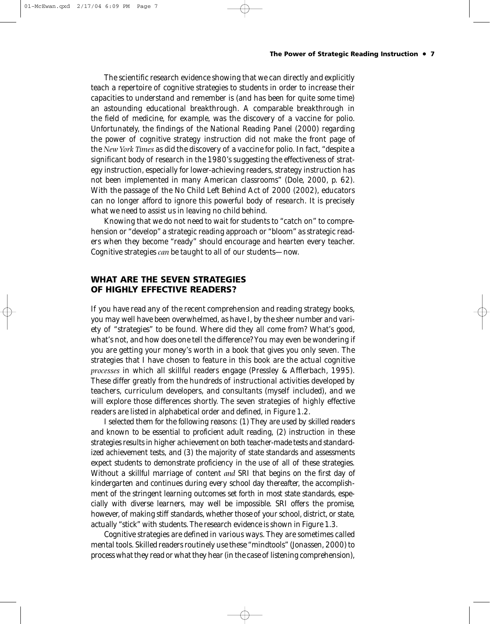#### **The Power of Strategic Reading Instruction • 7**

The scientific research evidence showing that we can directly and explicitly teach a repertoire of cognitive strategies to students in order to increase their capacities to understand and remember is (and has been for quite some time) an astounding educational breakthrough. A comparable breakthrough in the field of medicine, for example, was the discovery of a vaccine for polio. Unfortunately, the findings of the National Reading Panel (2000) regarding the power of cognitive strategy instruction did not make the front page of the *New York Times* as did the discovery of a vaccine for polio. In fact, "despite a significant body of research in the 1980's suggesting the effectiveness of strategy instruction, especially for lower-achieving readers, strategy instruction has not been implemented in many American classrooms" (Dole, 2000, p. 62). With the passage of the No Child Left Behind Act of 2000 (2002), educators can no longer afford to ignore this powerful body of research. It is precisely what we need to assist us in leaving no child behind.

Knowing that we do not need to wait for students to "catch on" to comprehension or "develop" a strategic reading approach or "bloom" as strategic readers when they become "ready" should encourage and hearten every teacher. Cognitive strategies *can* be taught to all of our students—now.

# **WHAT ARE THE SEVEN STRATEGIES OF HIGHLY EFFECTIVE READERS?**

If you have read any of the recent comprehension and reading strategy books, you may well have been overwhelmed, as have I, by the sheer number and variety of "strategies" to be found. Where did they all come from? What's good, what's not, and how does one tell the difference? You may even be wondering if you are getting your money's worth in a book that gives you only seven. The strategies that I have chosen to feature in this book are the actual cognitive *processes* in which all skillful readers engage (Pressley & Afflerbach, 1995). These differ greatly from the hundreds of instructional activities developed by teachers, curriculum developers, and consultants (myself included), and we will explore those differences shortly. The seven strategies of highly effective readers are listed in alphabetical order and defined, in Figure 1.2.

I selected them for the following reasons: (1) They are used by skilled readers and known to be essential to proficient adult reading, (2) instruction in these strategies results in higher achievement on both teacher-made tests and standardized achievement tests, and (3) the majority of state standards and assessments expect students to demonstrate proficiency in the use of all of these strategies. Without a skillful marriage of content *and* SRI that begins on the first day of kindergarten and continues during every school day thereafter, the accomplishment of the stringent learning outcomes set forth in most state standards, especially with diverse learners, may well be impossible. SRI offers the promise, however, of making stiff standards, whether those of your school, district, or state, actually "stick" with students. The research evidence is shown in Figure 1.3.

Cognitive strategies are defined in various ways. They are sometimes called mental tools. Skilled readers routinely use these "mindtools" (Jonassen, 2000) to process what they read or what they hear (in the case of listening comprehension),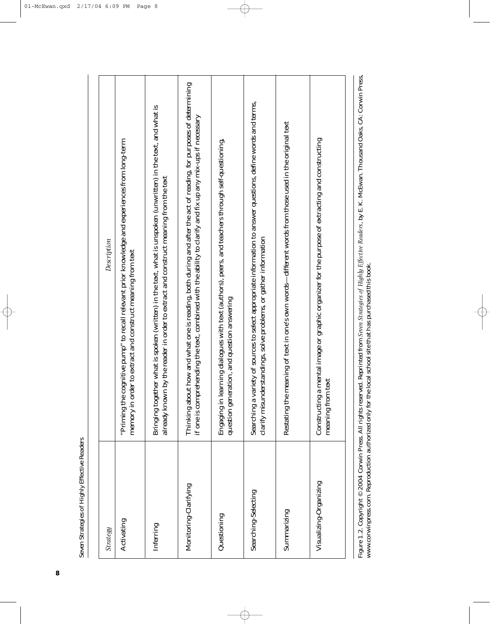**8**

| Strategy                                                | Description                                                                                                                                                                                                                                     |
|---------------------------------------------------------|-------------------------------------------------------------------------------------------------------------------------------------------------------------------------------------------------------------------------------------------------|
| Activating                                              | cognitive pump" to recall relevant prior knowledge and experiences from long-term<br>memory in order to extract and construct meaning from text<br>"Priming the                                                                                 |
| Inferring                                               | Bringing together what is spoken (written) in the text, what is unspoken (unwritten) in the text, and what is<br>already known by the reader in order to extract and construct meaning from the text                                            |
| Monitoring-Clarifying                                   | Thinking about how and what one is reading, both during and after the act of reading, for purposes of determining<br>if one is comprehending the text, combined with the ability to clarify and fix up any mix-ups if necessary                 |
| Questioning                                             | learning dialogues with text (authors), peers, and teachers through self-questioning,<br>question generation, and question answering<br>Engaging in                                                                                             |
| Searching-Selecting                                     | variety of sources to select appropriate information to answer questions, define words and terms,<br>clarify misunderstandings, solve problems, or gather information<br>Searching a                                                            |
| Summarizing                                             | meaning of text in one's own words-different words from those used in the original text<br>Restating the                                                                                                                                        |
| Visualizing-Organizing                                  | a mental image or graphic organizer for the purpose of extracting and constructing<br>meaning from text<br>Constructing                                                                                                                         |
| Ë.<br>$\ldots$ and $\alpha$ and $\alpha$<br>;<br>-<br>- | La Calca CA .Camina Da<br>.<br>بال<br>بالكل<br>$\alpha$ and $\alpha$ are the $L$ of $\alpha$ and $\alpha$ and $\alpha$ and $\alpha$ and $\alpha$ and $\alpha$ and $\alpha$<br>.<br>بال<br>بال<br>امعا المعامل المستعدد المستعدد<br>معلمات المله |

 $\overline{\bigoplus}$ 

 $\Rightarrow$ 

Figure 1.2. Copyright © 2004 Corwin Press. All rights reserved. Reprinted from Seven Strategies of Highly Effective Readers, by E. K. McEwan. Thousand Oaks, CA: Corwin Press, www.corwinpress.com. Reproduction authorized o Figure 1.2. Copyright © 2004 Corwin Press. All rights reserved. Reprinted from *Seven Strategies of Highly Effective Readers*, by E. K. McEwan. Thousand Oaks, CA: Corwin Press, www.corwinpress.com. Reproduction authorized only for the local school site that has purchased this book.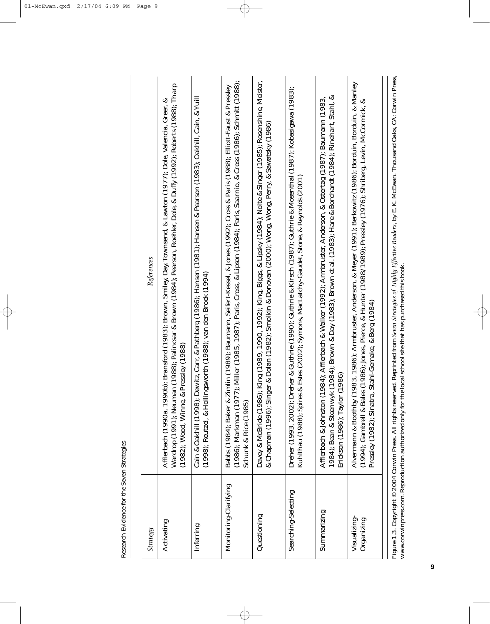Research Evidence for the Seven Strategies Research Evidence for the Seven Strategies

| Strategy                                              | References                                                                                                                                                                                                                                                                                            |
|-------------------------------------------------------|-------------------------------------------------------------------------------------------------------------------------------------------------------------------------------------------------------------------------------------------------------------------------------------------------------|
| Activating                                            | Wardrop (1991); Neuman (1988); Palincsar & Brown (1984); Pearson, Roehler, Dole, & Duffy (1992); Roberts (1988); Tharp<br>90b); Bransford (1983); Brown, Smiley, Day, Townsend, & Lawton (1977); Dole, Valencia, Greer, &<br>& Pressley (1988)<br>Afflerbach (1990a, 19<br>(1982); Wood, Winne,       |
| Inferring                                             | ; Dewitz, Carr, & Pathberg (1986); Hansen (1981); Hansen & Pearson (1983); Oakhill, Cain, & Yuill<br>llingsworth (1988); van den Broek (1994)<br>Cain & Oakhill (1998)<br>$(1998)$ ; Reutzel, & Hol                                                                                                   |
| Monitoring-Clarifying                                 | (1986); Markman (1977); Miller (1985, 1987); Paris, Cross, & Lipson (1984); Paris, Saarnio, & Cross (1986); Schmitt (1988);<br>Zimlin (1989); Baumann, Seifert-Kessel, & Jones (1992); Cross & Paris (1988); Elliott-Faust & Pressley<br>Babbs (1984); Baker &<br>Schunk & Rice (1985)                |
| Questioning                                           | Davey & McBride (1986); King (1989, 1990, 1992); King, Biggs, & Lipsky (1984); Nolte & Singer (1985); Rosenshine, Meister,<br>& Chapman (1996); Singer & Dolan (1982); Smolkin & Donovan (2000); Wong, Wong, Perry, & Sawatsky (1986)                                                                 |
| Searching-Selecting                                   | Dreher (1993, 2002); Dreher & Guthrie (1990); Guthrie & Kirsch (1987); Guthrie & Mosenthal (1987); Kobasigawa (1983);<br>Kuhlthau (1988); Spires & Estes (2002); Symons, MacLatchy-Gaudet, Stone, & Reynolds (2001                                                                                    |
| Summarizing                                           | 1984); Bean & Steenwyk (1984); Brown & Day (1983); Brown et al. (1983); Hare & Borchardt (1984); Rinehart, Stahl, &<br>(1984); Afflerbach & Walker (1992); Armbruster, Anderson, & Ostertag (1987); Baumann (1983,<br>Erickson (1986); Taylor (1986)<br>Afflerbach & Johnston                         |
| Visualizing-<br>Organizing                            | Alvermann & Boothby (1983, 1986); Armbruster, Anderson, & Meyer (1991); Berkowitz (1986); Borduin, Borduin, & Manley<br>(1994); Gambrell & Bales (1986); Jones, Pierce, & Hunter (1988/1989); Pressley (1976); Shriberg, Levin, McCormick, &<br>Pressley (1982); Sinatra, Stahl-Gemake, & Berg (1984) |
| www.corwinpress.com. Reproduction authorized only for | Figure 1.3. Copyright © 2004 Corwin Press. All rights reserved. Reprinted from Seven Strategies of Highly Effective Readers, by E. K. McEwan. Thousand Oaks, CA: Corwin Press,<br>the local school site that has purchased this book                                                                  |

 $\overline{\bigoplus}$ 

 $\Rightarrow$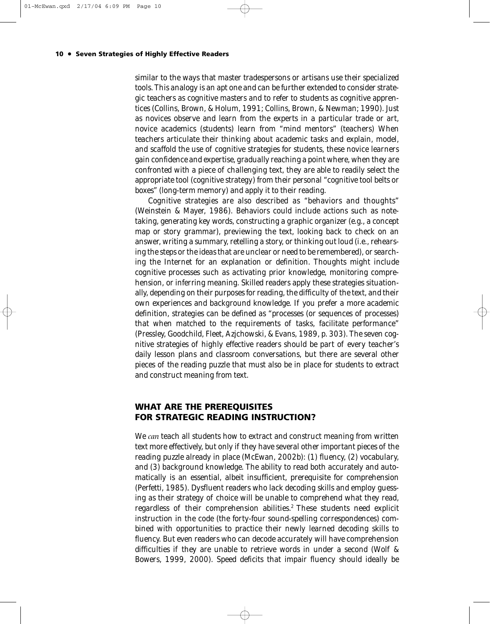similar to the ways that master tradespersons or artisans use their specialized tools. This analogy is an apt one and can be further extended to consider strategic teachers as cognitive masters and to refer to students as cognitive apprentices (Collins, Brown, & Holum, 1991; Collins, Brown, & Newman; 1990). Just as novices observe and learn from the experts in a particular trade or art, novice academics (students) learn from "mind mentors" (teachers) When teachers articulate their thinking about academic tasks and explain, model, and scaffold the use of cognitive strategies for students, these novice learners gain confidence and expertise, gradually reaching a point where, when they are confronted with a piece of challenging text, they are able to readily select the appropriate tool (cognitive strategy) from their personal "cognitive tool belts or boxes" (long-term memory) and apply it to their reading.

Cognitive strategies are also described as "behaviors and thoughts" (Weinstein & Mayer, 1986). Behaviors could include actions such as notetaking, generating key words, constructing a graphic organizer (e.g., a concept map or story grammar), previewing the text, looking back to check on an answer, writing a summary, retelling a story, or thinking out loud (i.e., rehearsing the steps or the ideas that are unclear or need to be remembered), or searching the Internet for an explanation or definition. Thoughts might include cognitive processes such as activating prior knowledge, monitoring comprehension, or inferring meaning. Skilled readers apply these strategies situationally, depending on their purposes for reading, the difficulty of the text, and their own experiences and background knowledge. If you prefer a more academic definition, strategies can be defined as "processes (or sequences of processes) that when matched to the requirements of tasks, facilitate performance" (Pressley, Goodchild, Fleet, Azjchowski, & Evans, 1989, p. 303). The seven cognitive strategies of highly effective readers should be part of every teacher's daily lesson plans and classroom conversations, but there are several other pieces of the reading puzzle that must also be in place for students to extract and construct meaning from text.

# **WHAT ARE THE PREREQUISITES FOR STRATEGIC READING INSTRUCTION?**

We *can* teach all students how to extract and construct meaning from written text more effectively, but only if they have several other important pieces of the reading puzzle already in place (McEwan, 2002b): (1) fluency, (2) vocabulary, and (3) background knowledge. The ability to read both accurately and automatically is an essential, albeit insufficient, prerequisite for comprehension (Perfetti, 1985). Dysfluent readers who lack decoding skills and employ guessing as their strategy of choice will be unable to comprehend what they read, regardless of their comprehension abilities.<sup>2</sup> These students need explicit instruction in the code (the forty-four sound-spelling correspondences) combined with opportunities to practice their newly learned decoding skills to fluency. But even readers who can decode accurately will have comprehension difficulties if they are unable to retrieve words in under a second (Wolf & Bowers, 1999, 2000). Speed deficits that impair fluency should ideally be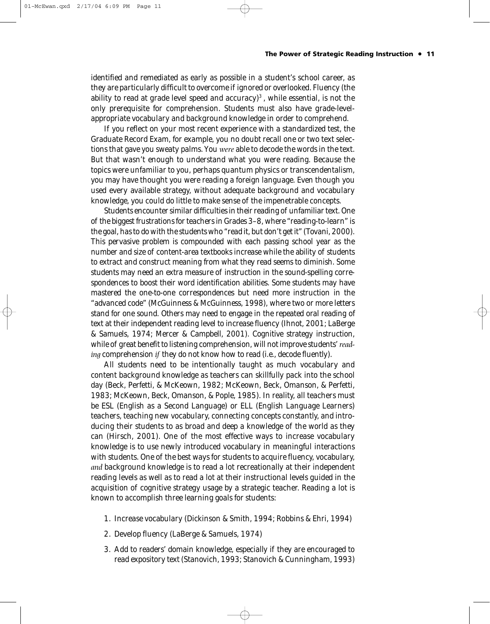identified and remediated as early as possible in a student's school career, as they are particularly difficult to overcome if ignored or overlooked. Fluency (the ability to read at grade level speed and accuracy)<sup>3</sup>, while essential, is not the only prerequisite for comprehension. Students must also have grade-levelappropriate vocabulary and background knowledge in order to comprehend.

If you reflect on your most recent experience with a standardized test, the Graduate Record Exam, for example, you no doubt recall one or two text selections that gave you sweaty palms. You *were* able to decode the words in the text. But that wasn't enough to understand what you were reading. Because the topics were unfamiliar to you, perhaps quantum physics or transcendentalism, you may have thought you were reading a foreign language. Even though you used every available strategy, without adequate background and vocabulary knowledge, you could do little to make sense of the impenetrable concepts.

Students encounter similar difficulties in their reading of unfamiliar text. One of the biggest frustrations for teachers in Grades 3–8, where "reading-to-learn" is the goal, has to do with the students who "read it, but don't get it" (Tovani, 2000). This pervasive problem is compounded with each passing school year as the number and size of content-area textbooks increase while the ability of students to extract and construct meaning from what they read seems to diminish. Some students may need an extra measure of instruction in the sound-spelling correspondences to boost their word identification abilities. Some students may have mastered the one-to-one correspondences but need more instruction in the "advanced code" (McGuinness & McGuinness, 1998), where two or more letters stand for one sound. Others may need to engage in the repeated oral reading of text at their independent reading level to increase fluency (Ihnot, 2001; LaBerge & Samuels, 1974; Mercer & Campbell, 2001). Cognitive strategy instruction, while of great benefit to listening comprehension, will not improve students' *reading* comprehension *if* they do not know how to read (i.e., decode fluently).

All students need to be intentionally taught as much vocabulary and content background knowledge as teachers can skillfully pack into the school day (Beck, Perfetti, & McKeown, 1982; McKeown, Beck, Omanson, & Perfetti, 1983; McKeown, Beck, Omanson, & Pople, 1985). In reality, all teachers must be ESL (English as a Second Language) or ELL (English Language Learners) teachers, teaching new vocabulary, connecting concepts constantly, and introducing their students to as broad and deep a knowledge of the world as they can (Hirsch, 2001). One of the most effective ways to increase vocabulary knowledge is to use newly introduced vocabulary in meaningful interactions with students. One of the best ways for students to acquire fluency, vocabulary, *and* background knowledge is to read a lot recreationally at their independent reading levels as well as to read a lot at their instructional levels guided in the acquisition of cognitive strategy usage by a strategic teacher. Reading a lot is known to accomplish three learning goals for students:

- 1. Increase vocabulary (Dickinson & Smith, 1994; Robbins & Ehri, 1994)
- 2. Develop fluency (LaBerge & Samuels, 1974)
- 3. Add to readers' domain knowledge, especially if they are encouraged to read expository text (Stanovich, 1993; Stanovich & Cunningham, 1993)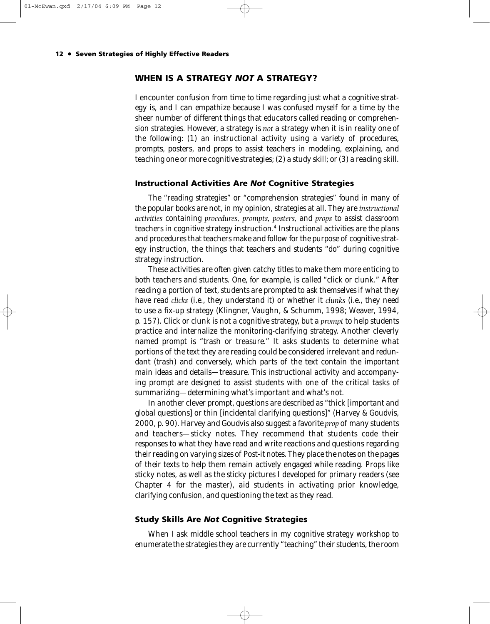# **WHEN IS A STRATEGY** *NOT* **A STRATEGY?**

I encounter confusion from time to time regarding just what a cognitive strategy is, and I can empathize because I was confused myself for a time by the sheer number of different things that educators called reading or comprehension strategies. However, a strategy is *not* a strategy when it is in reality one of the following: (1) an instructional activity using a variety of procedures, prompts, posters, and props to assist teachers in modeling, explaining, and teaching one or more cognitive strategies; (2) a study skill; or (3) a reading skill.

#### **Instructional Activities Are** *Not* **Cognitive Strategies**

The "reading strategies" or "comprehension strategies" found in many of the popular books are not, in my opinion, strategies at all. They are *instructional activities* containing *procedures, prompts, posters,* and *props* to assist classroom teachers in cognitive strategy instruction.4 Instructional activities are the plans and procedures that teachers make and follow for the purpose of cognitive strategy instruction, the things that teachers and students "do" during cognitive strategy instruction.

These activities are often given catchy titles to make them more enticing to both teachers and students. One, for example, is called "click or clunk." After reading a portion of text, students are prompted to ask themselves if what they have read *clicks* (i.e., they understand it) or whether it *clunks* (i.e., they need to use a fix-up strategy (Klingner, Vaughn, & Schumm, 1998; Weaver, 1994, p. 157). Click or clunk is not a cognitive strategy, but a *prompt* to help students practice and internalize the monitoring-clarifying strategy. Another cleverly named prompt is "trash or treasure." It asks students to determine what portions of the text they are reading could be considered irrelevant and redundant (trash) and conversely, which parts of the text contain the important main ideas and details—treasure. This instructional activity and accompanying prompt are designed to assist students with one of the critical tasks of summarizing—determining what's important and what's not.

In another clever prompt, questions are described as "thick [important and global questions] or thin [incidental clarifying questions]" (Harvey & Goudvis, 2000, p. 90). Harvey and Goudvis also suggest a favorite *prop* of many students and teachers—sticky notes. They recommend that students code their responses to what they have read and write reactions and questions regarding their reading on varying sizes of Post-it notes. They place the notes on the pages of their texts to help them remain actively engaged while reading. Props like sticky notes, as well as the sticky pictures I developed for primary readers (see Chapter 4 for the master), aid students in activating prior knowledge, clarifying confusion, and questioning the text as they read.

# **Study Skills Are** *Not* **Cognitive Strategies**

When I ask middle school teachers in my cognitive strategy workshop to enumerate the strategies they are currently "teaching" their students, the room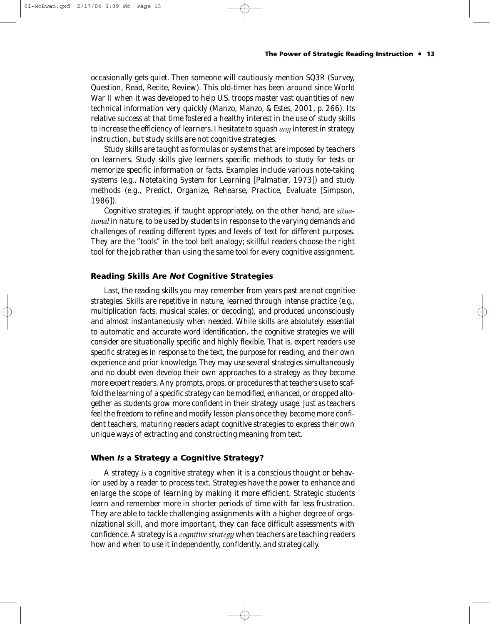#### **The Power of Strategic Reading Instruction • 13**

occasionally gets quiet. Then someone will cautiously mention SQ3R (Survey, Question, Read, Recite, Review). This old-timer has been around since World War II when it was developed to help U.S. troops master vast quantities of new technical information very quickly (Manzo, Manzo, & Estes, 2001, p. 266). Its relative success at that time fostered a healthy interest in the use of study skills to increase the efficiency of learners. I hesitate to squash *any* interest in strategy instruction, but study skills are not cognitive strategies.

Study skills are taught as formulas or systems that are imposed by teachers on learners. Study skills give learners specific methods to study for tests or memorize specific information or facts. Examples include various note-taking systems (e.g., Notetaking System for Learning [Palmatier, 1973]) and study methods (e.g., Predict, Organize, Rehearse, Practice, Evaluate [Simpson, 1986]).

Cognitive strategies, if taught appropriately, on the other hand, are *situational* in nature, to be used by students in response to the varying demands and challenges of reading different types and levels of text for different purposes. They are the "tools" in the tool belt analogy; skillful readers choose the right tool for the job rather than using the same tool for every cognitive assignment.

## **Reading Skills Are** *Not* **Cognitive Strategies**

Last, the reading skills you may remember from years past are not cognitive strategies. Skills are repetitive in nature, learned through intense practice (e.g., multiplication facts, musical scales, or decoding), and produced unconsciously and almost instantaneously when needed. While skills are absolutely essential to automatic and accurate word identification, the cognitive strategies we will consider are situationally specific and highly flexible. That is, expert readers use specific strategies in response to the text, the purpose for reading, and their own experience and prior knowledge. They may use several strategies simultaneously and no doubt even develop their own approaches to a strategy as they become more expert readers. Any prompts, props, or procedures that teachers use to scaffold the learning of a specific strategy can be modified, enhanced, or dropped altogether as students grow more confident in their strategy usage. Just as teachers feel the freedom to refine and modify lesson plans once they become more confident teachers, maturing readers adapt cognitive strategies to express their own unique ways of extracting and constructing meaning from text.

# **When** *Is* **a Strategy a Cognitive Strategy?**

A strategy *is* a cognitive strategy when it is a conscious thought or behavior used by a reader to process text. Strategies have the power to enhance and enlarge the scope of learning by making it more efficient. Strategic students learn and remember more in shorter periods of time with far less frustration. They are able to tackle challenging assignments with a higher degree of organizational skill, and more important, they can face difficult assessments with confidence. A strategy is a *cognitive strategy* when teachers are teaching readers how and when to use it independently, confidently, and strategically.